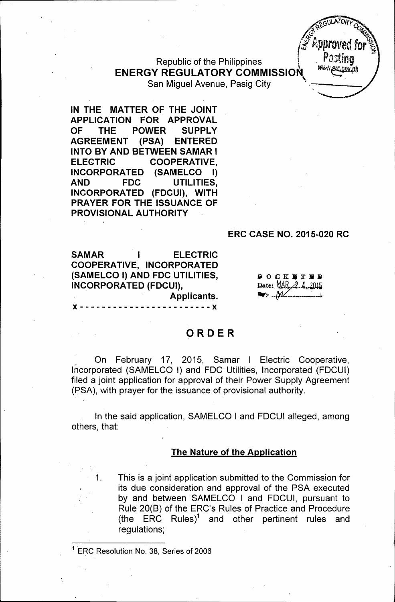Republic of the Philippines **ENERGY REGULATORY COMMISSION** San Miguel Avenue, Pasig City



#### **ERC CASE NO. 2015-020 RC**

 $\mathscr{L}$ . The set of  $\mathscr{L}$ 

 $C_2$  $C_3$  $U$  $A$  $D$  $R$  $Y$  $X$  $x^2 + y^2$ *tS .~.*

**SAMAR I ELECTRIC COOPERATIVE, INCORPORATED (SAMELCO I) AND FDC UTILITIES, INCORPORATED (FDCUI), Applicants.**

 $P$  O  $C$  K F T F D Date: MAR 2.4, 2015  $\mathbb{R}$ :  $\mathcal{W}$ 

)( - - - - - - - - - - - - - - - - - - - - - - - - )(

# **ORDER**

. On February 17, 2015, Samar I Electric Cooperative, Incorporated (SAMELCO I) and FOC Utilities, Incorporated (FOCUI) filed a joint application for approval of their Power Supply Agreement (PSA), with prayer for the issuance of provisional authority.

In the said application, SAMELCO I and FOCUI alleged, among others, that:

#### **The Nature of the Application**

1. This is a joint application submitted to the Commission for its due consideration and approval of the PSA executed by and between SAMELCO I and FOCUI, pursuant to Rule 20(B) of the ERC's Rules of Practice and Procedure (the ERC Rules)<sup>1</sup> and other pertinent rules and regulations;

ERC Resolution No. 38, Series of 2006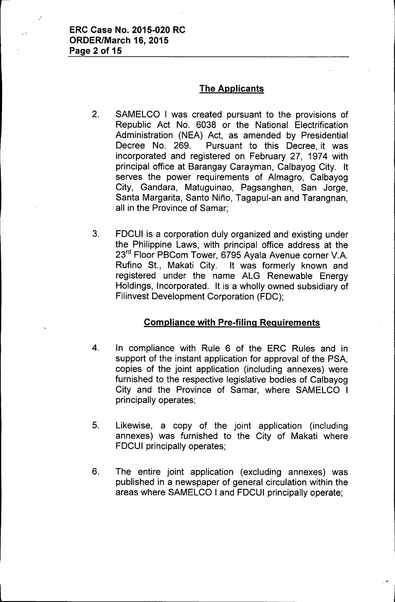### The Applicants

- 2. SAMELCO I was created pursuant to the provisions of Republic Act No. 6038 or the National Electrification Administration (NEA) Act, as amended by Presidential Decree No. 269. Pursuant to this Decree, it was incorporated and registered on February 27, 1974 with principal office at Barangay Carayman, Calbayog City. It serves the power requirements of Almagro, Calbayog City, Gandara, Matuguinao, Pagsanghan, San Jorge, Santa Margarita, Santo Nino, Tagapul-an and Tarangnan, all in the Province of Samar;
- 3. FDCUI is a corporation duly organized and existing under the Philippine Laws, with principal office address at the 23<sup>rd</sup> Floor PBCom Tower, 6795 Ayala Avenue corner V.A.<br>Rufino St., Makati City. It was formerly known and It was formerly known and registered under the name ALG Renewable Energy Holdings, Incorporated. It is a wholly owned subsidiary of Filinvest Development Corporation (FDC);

# Compliance with Pre-filing Requirements

- 4. In compliance with Rule 6 of the ERC Rules and in support of the instant application for approval of the PSA, copies of the joint application (including annexes) were furnished to the respective legislative bodies of Calbayog City and the Province of Samar, where SAMELCO I principally operates;
- 5. Likewise, a copy of the joint application (including annexes) was furnished to the City of Makati where FDCUI principally operates;
- 6. The entire joint application (excluding annexes) was published in a newspaper of general circulation within the areas where SAMELCO I and FDCUI principally operate;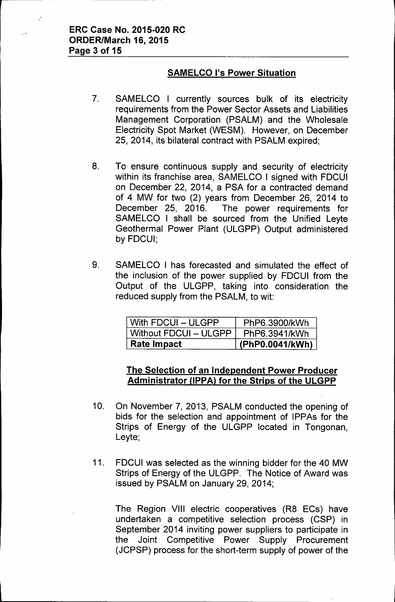# **SAMELCO I's Power Situation**

- 7. SAMELCO I currently sources bulk of its electricity requirements from the Power Sector Assets and Liabilities Management Corporation (PSALM) and the Wholesale Electricity Spot Market (WESM). However, on December 25, 2014, its bilateral contract with PSALM expired;
- 8. To. ensure continuous supply and security of electricity within its franchise area, SAMELCO I signed with FDCUI on December 22, 2014, a PSA for a contracted demand of 4 MW for two (2) years from December 26, 2014 to December 25, 2016. The power requirements for SAMELCO I shall be sourced from the Unified Leyte Geothermal Power Plant (ULGPP) Output administered by FDCUI;
- 9. SAMELCO I has forecasted and simulated the effect of the inclusion of the power supplied by FDCUI from the Output of the ULGPP, taking into consideration the reduced supply from the PSALM, to wit:

| With FDCUI - ULGPP    | PhP6.3900/kWh   |
|-----------------------|-----------------|
| Without FDCUI - ULGPP | PhP6.3941/kWh   |
| <b>Rate Impact</b>    | (PhP0.0041/kWh) |

### **The Selection** of an **Independent Power Producer Administrator UPPAl for the Strips of the ULGPP**

- 10. On November 7, 2013, PSALM conducted the opening of bids for the selection and appointment of IPPAs for the Strips of Energy of the ULGPP located in Tongonan, Leyte;
- 11. FDCUI was selected as the winning bidder for the 40 MW Strips of Energy of the ULGPP. The Notice of Award was issued by PSALM on January 29,2014;

The Region. VIII electric cooperatives (R8 ECs) have undertaken a competitive selection process (CSP) in September 2014 inviting power suppliers to participate in the Joint Competitive Power Supply Procurement (JCPSP) process for the short-term supply of power of the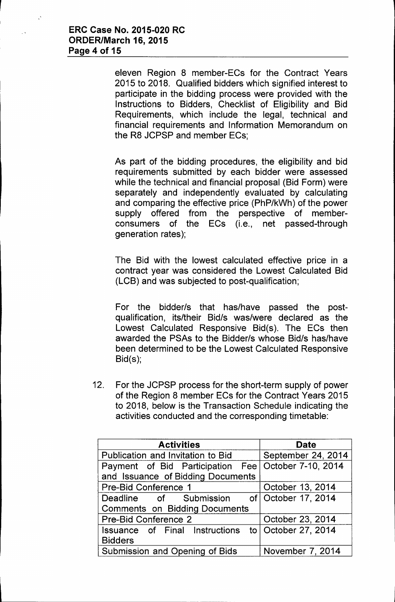eleven Region 8 member-ECs for the Contract Years 2015 to 2018. Qualified bidders which signified interest to participate in the bidding process were provided with the Instructions to Bidders, Checklist of Eligibility and Bid Requirements, which include the legal, technical and financial requirements and Information Memorandum on the R8 JCPSP and member ECs;

As part of the bidding procedures, the eligibility and bid requirements submitted by each bidder were assessed while the technical and financial proposal (Bid Form) were separately and independently evaluated by calculating and comparing the effective price (PhP/kWh) of the power supply offered from the perspective of memberconsumers of the ECs (i.e., net passed-through generation rates);

The Bid with the lowest calculated effective price in a contract year was considered the Lowest Calculated Bid (LCB) and was subjected to post-qualification;

For the bidder/s that has/have passed the postqualification, its/their Bid/s was/were declared as the Lowest Calculated Responsive Bid(s). The ECs then awarded the PSAs to the Bidder/s whose Bid/s has/have been determined to be the Lowest Calculated Responsive Bid(s);

12. For the JCPSP process for the short-term supply of power of the Region 8 member ECs for the Contract Years 2015 to 2018, below is the Transaction Schedule indicating the activities conducted and the corresponding timetable:

| <b>Activities</b>                                     | <b>Date</b>                 |
|-------------------------------------------------------|-----------------------------|
| Publication and Invitation to Bid                     | September 24, 2014          |
| Payment of Bid Participation Fee   October 7-10, 2014 |                             |
| and Issuance of Bidding Documents                     |                             |
| <b>Pre-Bid Conference 1</b>                           | October 13, 2014            |
| Deadline of Submission of October 17, 2014            |                             |
| <b>Comments on Bidding Documents</b>                  |                             |
| Pre-Bid Conference 2                                  | October 23, 2014            |
| Issuance of Final Instructions                        | to $\vert$ October 27, 2014 |
| <b>Bidders</b>                                        |                             |
| Submission and Opening of Bids                        | November 7, 2014            |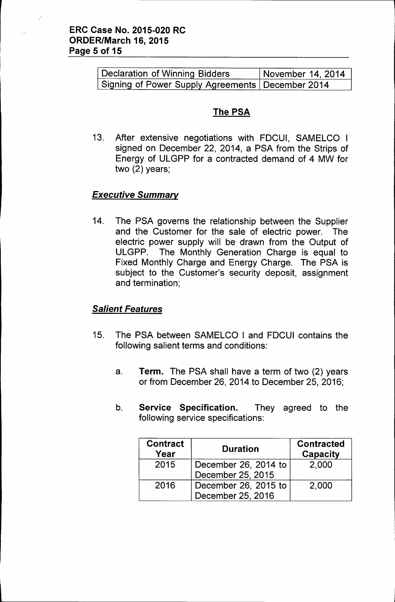| Declaration of Winning Bidders                     | November 14, 2014 |
|----------------------------------------------------|-------------------|
| Signing of Power Supply Agreements   December 2014 |                   |

# The PSA

13. After extensive negotiations with FDCUI, SAMELCO I signed on December 22, 2014, a PSA from the Strips of Energy of ULGPP for a contracted demand of 4 MW for two (2) years;

### *Executive Summary*

14. The PSA governs the relationship between the Supplier and the Customer for the sale of electric power. The electric power supply will be drawn from the Output of ULGPP. The Monthly Generation Charge is equal to Fixed Monthly Charge and Energy Charge. The PSA is subject to the Customer's security deposit, assignment and termination;

### *Salient Features*

- 15. The PSA between SAMELCO I and FDCUI contains the following salient terms and conditions:
	- a. Term. The PSA shall have a term of two (2) years or from December 26,2014 to December 25,2016;
	- b. Service Specification. They agreed to the following service specifications:

| <b>Contract</b><br>Year | <b>Duration</b>      | <b>Contracted</b><br>Capacity |
|-------------------------|----------------------|-------------------------------|
| 2015                    | December 26, 2014 to | 2,000                         |
|                         | December 25, 2015    |                               |
| 2016                    | December 26, 2015 to | 2,000                         |
|                         | December 25, 2016    |                               |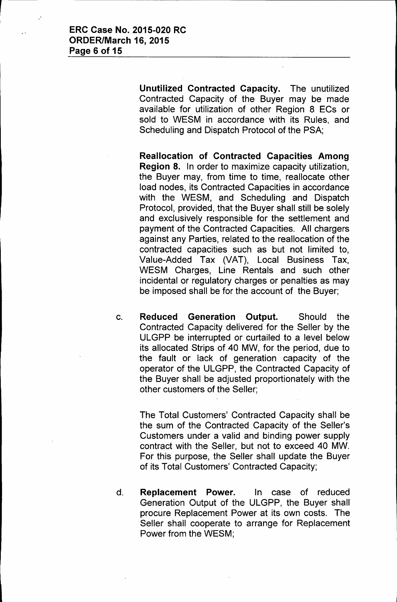Unutilized Contracted Capacity. The unutilized Contracted Capacity of the Buyer may be made available for utilization of other Region 8 ECs or sold to WESM in accordance with its Rules, and Scheduling and Dispatch Protocol of the PSA;

Reallocation of Contracted Capacities Among Region 8. In order to maximize capacity utilization, the Buyer may, from time to time, reallocate other load nodes, its Contracted Capacities in accordance with the WESM, and Scheduling and Dispatch Protocol, provided, that the Buyer shall still be solely and exclusively responsible for the settlement and payment of the Contracted Capacities. All chargers against any Parties, related to the reallocation of the contracted capacities such as but not limited to, Value-Added Tax (VAT), Local Business Tax, WESM Charges, Line Rentals and such other incidental or regulatory charges or penalties as may be imposed shall be for the account of the Buyer;

c. Reduced Generation Output. Should the Contracted Capacity delivered for the Seller by the ULGPP be interrupted or curtailed to a level below its allocated Strips of 40 MW, for the period, due to the fault or lack of generation capacity of the operator of the ULGPP, the Contracted Capacity of the Buyer shall be adjusted proportionately with the other customers of the Seller;

The Total Customers' Contracted Capacity shall be the sum of the Contracted Capacity of the Seller's Customers under a valid and binding power supply contract with the Seller, but not to exceed 40 MW. For this purpose, the Seller shall update the Buyer of its Total Customers' Contracted Capacity;

d. Replacement Power. In case of reduced Generation Output of the ULGPP, the Buyer shall procure Replacement Power at its own costs. The Seller shall cooperate to arrange for Replacement Power from the WESM;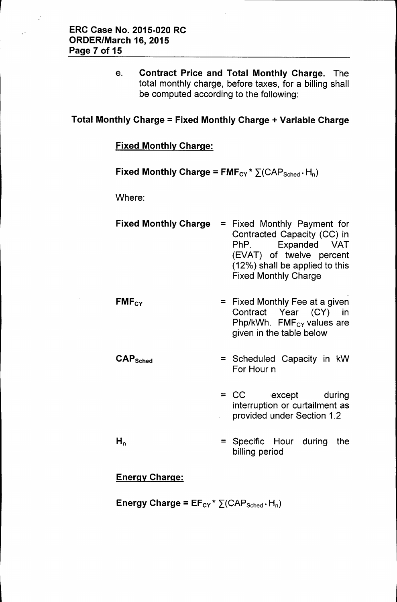e. Contract Price and Total Monthly Charge. The total monthly charge, before taxes, for a billing shall be computed according to the following:

### Total Monthly Charge = Fixed Monthly Charge + Variable Charge

### Fixed Monthly Charge:

Fixed Monthly Charge =  $FMF_{CY}$ \*  $\Sigma(CAP_{Sched}$ \* H<sub>n</sub>)

Where:

| <b>Fixed Monthly Charge</b>     | = Fixed Monthly Payment for<br>Contracted Capacity (CC) in<br>PhP. Expanded VAT<br>(EVAT) of twelve percent<br>(12%) shall be applied to this<br><b>Fixed Monthly Charge</b> |
|---------------------------------|------------------------------------------------------------------------------------------------------------------------------------------------------------------------------|
| $FMF_{CY}$                      | $=$ Fixed Monthly Fee at a given<br>Contract Year (CY) in<br>Php/kWh. $FMF_{CY}$ values are<br>given in the table below                                                      |
| $\mathsf{CAP}_{\mathsf{Sched}}$ | = Scheduled Capacity in kW<br>For Hour n                                                                                                                                     |
|                                 | = CC except during<br>interruption or curtailment as<br>provided under Section 1.2                                                                                           |
| $\mathsf{H}_{\mathsf{n}}$       | = Specific Hour during<br>the<br>billing period                                                                                                                              |

# Energy Charge:

Energy Charge =  $EF_{CY}$ \*  $\Sigma$ (CAP<sub>Sched</sub> + H<sub>n</sub>)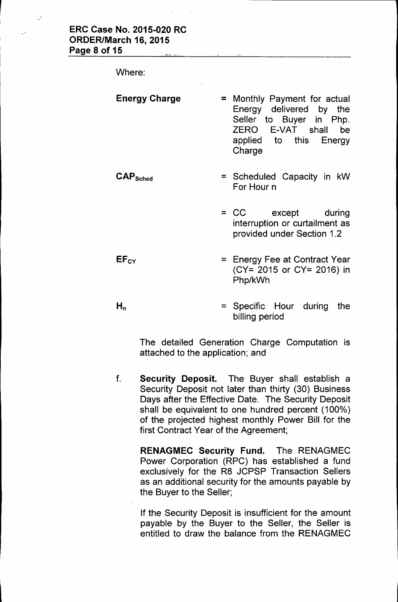Where:

CAPSched

#### Energy Charge

- = Monthly Payment for actual Energy delivered by the Seller to Buyer in Php. ZERO E-VAT shall be applied to this Energy Charge
- = Scheduled Capacity in kW For Hour n

= CC except during interruption or curtailment as provided under Section 1.2

 $=$  Energy Fee at Contract Year (CY= 2015 or CY= 2016) in Php/kWh

 $H_n$ 

**EFcy** 

= Specific Hour during the billing period

The detailed Generation Charge Computation is attached to the application; and

f. Security Deposit. The Buyer shall establish a Security Deposit not later than thirty (30) Business Days after the Effective Date. The Security Deposit shall be equivalent to one hundred percent (100%) of the projected highest monthly Power Bill for the first Contract Year of the Agreement;

RENAGMEC Security Fund. The RENAGMEC Power Corporation (RPC) has established a fund exclusively for the R8 JCPSP Transaction Sellers as an additional security for the amounts payable by the Buyer to the Seller;

If the Security Deposit is insufficient for the amount payable by the Buyer to the Seller, the Seller is entitled to draw the balance from the RENAGMEC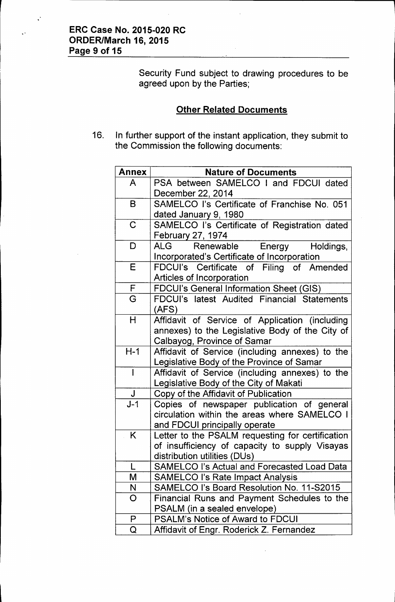Security Fund subject to drawing procedures to be agreed upon by the Parties;

# **Other Related Documents**

16. In further support of the instant application, they submit to the Commission the following documents:

| <b>Annex</b> | <b>Nature of Documents</b>                                                                   |
|--------------|----------------------------------------------------------------------------------------------|
| A            | PSA between SAMELCO I and FDCUI dated                                                        |
|              | December 22, 2014                                                                            |
| B            | SAMELCO I's Certificate of Franchise No. 051                                                 |
|              | dated January 9, 1980                                                                        |
| $\mathbf C$  | SAMELCO I's Certificate of Registration dated                                                |
|              | February 27, 1974                                                                            |
| D            | ALG .<br>Renewable<br>Holdings,<br>Energy                                                    |
|              | Incorporated's Certificate of Incorporation                                                  |
| E            | FDCUI's Certificate of Filing of Amended                                                     |
|              | <b>Articles of Incorporation</b>                                                             |
| F            | <b>FDCUI's General Information Sheet (GIS)</b>                                               |
| G            | FDCUI's latest Audited Financial Statements                                                  |
|              | (AFS)                                                                                        |
| H            | Affidavit of Service of Application (including                                               |
|              | annexes) to the Legislative Body of the City of                                              |
| $H-1$        | Calbayog, Province of Samar                                                                  |
|              | Affidavit of Service (including annexes) to the<br>Legislative Body of the Province of Samar |
| $\mathbf{I}$ | Affidavit of Service (including annexes) to the                                              |
|              | Legislative Body of the City of Makati                                                       |
| $\mathsf J$  | Copy of the Affidavit of Publication                                                         |
| $J-1$        | Copies of newspaper publication of general                                                   |
|              | circulation within the areas where SAMELCO I                                                 |
|              | and FDCUI principally operate                                                                |
| K            | Letter to the PSALM requesting for certification                                             |
|              | of insufficiency of capacity to supply Visayas                                               |
|              | distribution utilities (DUs)                                                                 |
|              | <b>SAMELCO I's Actual and Forecasted Load Data</b>                                           |
| M            | <b>SAMELCO I's Rate Impact Analysis</b>                                                      |
| N            | SAMELCO I's Board Resolution No. 11-S2015                                                    |
| O            | Financial Runs and Payment Schedules to the                                                  |
|              | PSALM (in a sealed envelope)                                                                 |
| P            | <b>PSALM's Notice of Award to FDCUI</b>                                                      |
| Q            | Affidavit of Engr. Roderick Z. Fernandez                                                     |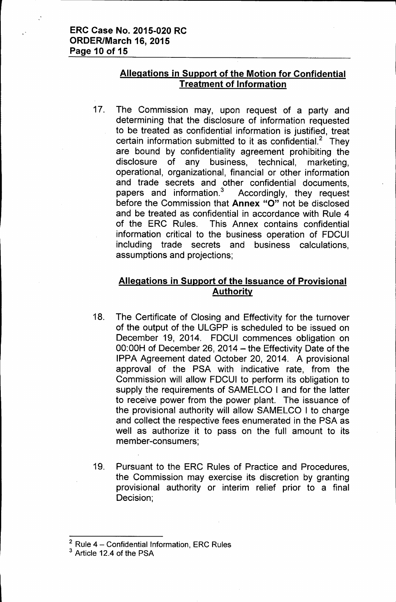### **Allegations in Support of the Motion for Confidential Treatment of Information**

17. The Commission may, upon request of a party and determining that the disclosure of information requested to be treated as confidential information is justified, treat certain information submitted to it as confidential.<sup>2</sup> They are bound by confidentiality agreement prohibiting the disclosure of any business, technical, marketing, operational, organizational, financial or other information and trade secrets and other confidential documents, papers and information.<sup>3</sup> Accordingly, they request before the Commission that **Annex** "0" not be disclosed and be treated as confidential in accordance with Rule 4 of the ERC Rules. This Annex contains confidential information critical to the business operation of FDCUI including trade secrets and business calculations, assumptions and projections;

# **Allegations in Support of the Issuance of Provisional Authority**

- 18. The Certificate of Closing and Effectivity for the turnover of the output of the ULGPP is scheduled to be issued on December 19, 2014. FDCUI commences obligation on  $00:00H$  of December 26, 2014 - the Effectivity Date of the IPPA Agreement dated October 20, 2014. A provisional approval of the PSA with indicative rate, from the Commission will allow FDCUI to perform its obligation to supply the requirements of SAMELCO I and for the latter to receive power from the power plant. The issuance of the provisional authority will allow SAMELCO I to charge and collect the respective fees enumerated in the PSA as well as authorize it to pass on the full amount to its member-consumers;
- 19. Pursuant to the ERC Rules of Practice and Procedures, the Commission may exercise its discretion by granting provisional authority or interim relief prior to a final Decision;

 $2$  Rule 4 - Confidential Information, ERC Rules

<sup>&</sup>lt;sup>3</sup> Article 12.4 of the PSA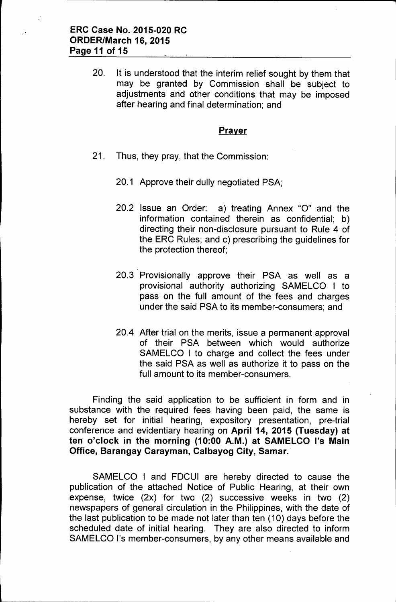20. It is understood that the interim relief sought by them that may be granted by Commission shall be subject to adjustments and other conditions that may be imposed after hearing and final determination; and

#### **Prayer**

- 21. Thus, they pray, that the Commission:
	- 20.1 Approve their dully negotiated PSA;
	- 20.2 Issue an Order: a) treating Annex "0" and the information contained therein as confidential; b) directing their non-disclosure pursuant to Rule 4 of the ERC Rules; and c) prescribing the guidelines for the protection thereof;
	- 20.3 Provisionally approve their PSA as well as a provisional authority authorizing SAMELCO I to pass on the full amount of the fees and charges under the said PSA to its member-consumers; and
	- 20.4 After trial on the merits, issue a permanent approval of their PSA between which would authorize SAMELCO I to charge and collect the fees under the said PSA as well as authorize it to pass on the full amount to its member-consumers.

Finding the said application to be sufficient in form and in substance with the required fees having been paid, the same is hereby set for initial hearing, expository presentation, pre-tria conference and evidentiary hearing on April 14, 2015 (Tuesday) at ten o'clock in the morning (10:00 A.M.) at SAMELCO I's Main Office, Barangay Carayman, Calbayog City, Samar.

SAMELCO I and FDCUI are hereby directed to cause the publication of the attached Notice of Public Hearing, at their own expense, twice (2x) for two (2) successive weeks in two (2) newspapers of general circulation in the Philippines, with the date of the last publication to be made not later than ten (10) days before the scheduled date of initial hearing. They are also directed to inform SAMELCO I's member-consumers, by any other means available and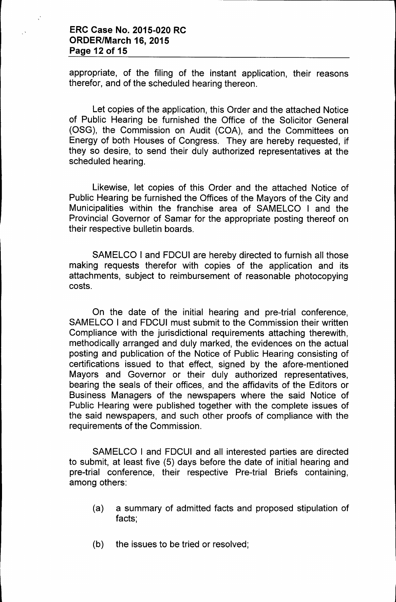### **ERC Case No. 2015-020 RC ORDER/March 16, 2015 Page 12 of 15**

appropriate, of the filing of the instant application, their reasons therefor, and of the scheduled hearing thereon.

Let copies of the application, this Order and the attached Notice of Public Hearing be furnished the Office of the Solicitor General (OSG), the Commission on Audit (COA), and the Committees on Energy of both Houses of Congress. They are hereby requested, if they so desire, to send their duly authorized representatives at the scheduled hearing.

Likewise, let copies of this Order and the attached Notice of Public Hearing be furnished the Offices of the Mayors of the City and Municipalities within the franchise area of SAMELCO I and the Provincial Governor of Samar for the appropriate posting thereof on their respective bulletin boards.

SAMELCO I and FDCUI are hereby directed to furnish all those making requests therefor with copies of the application and its attachments, subject to reimbursement of reasonable photocopying costs.

On the date of the initial hearing and pre-trial conference, SAMELCO I and FDCUI must submit to the Commission their written Compliance with the jurisdictional requirements attaching therewith, methodically arranged and duly marked, the evidences on the actual posting and publication of the Notice of Public Hearing consisting of certifications issued to that effect, signed by the afore-mentioned Mayors and Governor or their duly authorized representatives, bearing the seals of their offices, and the affidavits of the Editors or Business Managers of the newspapers where the said Notice of Public Hearing were published together with the complete issues of the said newspapers, and such other proofs of compliance with the requirements of the Commission.

SAMELCO I and FDCUI and all interested parties are directed to submit, at least five (5) days before the date of initial hearing and pre-trial conference, their respective Pre-trial Briefs containing, among others:

- (a) a summary of admitted facts and proposed stipulation of facts;
- (b) the issues to be tried or resolved;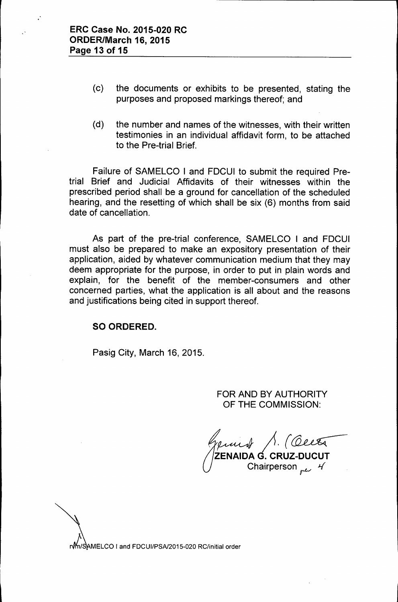- (c) the documents or exhibits to be presented, stating the purposes and proposed markings thereof; and
- (d) the number and names of the witnesses, with their written testimonies in an individual affidavit form, to be attached to the Pre-trial Brief.

Failure of SAMELCO I and FDCUI to submit the required Pretrial Brief and Judicial Affidavits of their witnesses within the prescribed period shall be a ground for cancellation of the scheduled hearing, and the resetting of which shall be six (6) months from said date of cancellation.

As part of the pre-trial conference, SAMELCO I and FDCUI must also be prepared to make an expository presentation of their application, aided by whatever communication medium that they may deem appropriate for the purpose, in order to put in plain words and explain, for the benefit of the member-consumers and other concerned parties, what the application is all about and the reasons and justifications being cited in support thereof.

### SO ORDERED.

Pasig City, March 16,2015.

FOR AND BY AUTHORITY OF THE COMMISSION:

*,~ J1.(~* ZENAIDA G. CRUZ-DUCUT Chairperson *pt* 4

r/m/SAMELCO I and FDCUI/PSA/2015-020 RC/initial order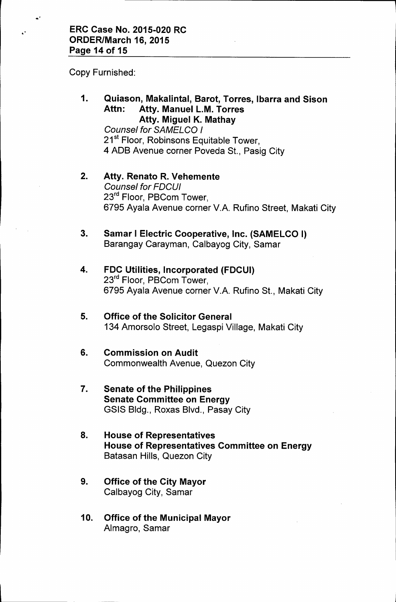Copy Furnished:

.'

."

1. Quiason, Makalintal, 8arot, Torres, Ibarra and Sison Attn: Atty. Manuel L.M. Torres Atty. Miguel K. Mathay

**Counsel for SAMELCO I** 21<sup>st</sup> Floor, Robinsons Equitable Tower, 4 ADB Avenue corner Poveda St., Pasig City

- 2. Atty. Renato R. Vehemente *Counsel for FDCUI* 23<sup>rd</sup> Floor, PBCom Tower, 6795 Ayala Avenue corner V.A. Rufino Street, Makati City
- 3. Samar I Electric Cooperative, Inc. (SAMELCO I) Barangay Carayman, Calbayog City, Samar
- 4. FDC Utilities, Incorporated (FDCUI) 23<sup>rd</sup> Floor, PBCom Tower, 6795 Ayala Avenue corner V.A. Rufino St., Makati City
- 5. Office of the Solicitor General 134 Amorsolo Street, Legaspi Village, Makati City
- 6. Commission on Audit Commonwealth Avenue, Quezon City
- 7. Senate of the Philippines Senate Committee on Energy GSIS Bldg., Roxas Blvd., Pasay City
- 8. House of Representatives House of Representatives Committee on Energy Batasan Hills, Quezon City
- 9. Office of the City Mayor Calbayog City, Samar
- 10. Office of the Municipal Mayor Almagro, Samar